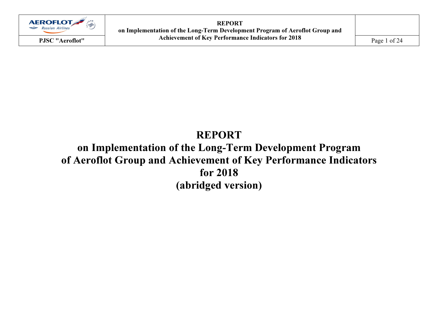

REPORT on Implementation of the Long-Term Development Program of Aeroflot Group and PJSC "Aeroflot" Achievement of Key Performance Indicators for 2018 Page 1 of 24

# REPORT on Implementation of the Long-Term Development Program of Aeroflot Group and Achievement of Key Performance Indicators for 2018 (abridged version)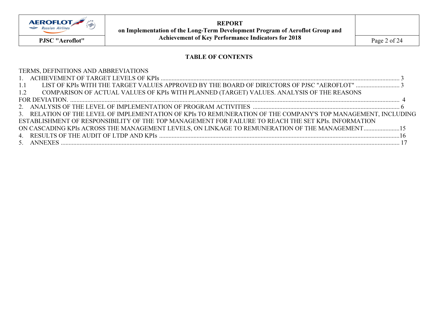

REPORT on Implementation of the Long-Term Development Program of Aeroflot Group and PJSC "Aeroflot" Achievement of Key Performance Indicators for 2018 Page 2 of 24

# TABLE OF CONTENTS

| TERMS, DEFINITIONS AND ABBREVIATIONS                                                                          |  |
|---------------------------------------------------------------------------------------------------------------|--|
|                                                                                                               |  |
| 1.1                                                                                                           |  |
| COMPARISON OF ACTUAL VALUES OF KPIs WITH PLANNED (TARGET) VALUES. ANALYSIS OF THE REASONS<br>1.2              |  |
|                                                                                                               |  |
|                                                                                                               |  |
| 3. RELATION OF THE LEVEL OF IMPLEMENTATION OF KPIs TO REMUNERATION OF THE COMPANY'S TOP MANAGEMENT, INCLUDING |  |
| ESTABLISHMENT OF RESPONSIBILITY OF THE TOP MANAGEMENT FOR FAILURE TO REACH THE SET KPIs. INFORMATION          |  |
| ON CASCADING KPIs ACROSS THE MANAGEMENT LEVELS, ON LINKAGE TO REMUNERATION OF THE MANAGEMENT15                |  |
|                                                                                                               |  |
|                                                                                                               |  |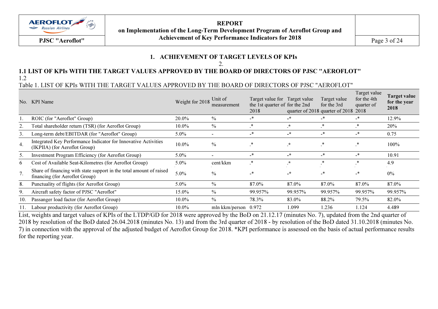

REPORT on Implementation of the Long-Term Development Program of Aeroflot Group and Achievement of Key Performance Indicators for 2018 PJSC "Aeroflot" $Page 3 of 24$ 

# 1. ACHIEVEMENT OF TARGET LEVELS OF KPIs

 $\mathcal{D}$ 

#### 1.1 LIST OF KPIs WITH THE TARGET VALUES APPROVED BY THE BOARD OF DIRECTORS OF PJSC "AEROFLOT" 1.2

Table 1. LIST OF KPIs WITH THE TARGET VALUES APPROVED BY THE BOARD OF DIRECTORS OF PJSC "AEROFLOT"

| No.              | KPI Name                                                                                              | Weight for 2018 | Unit of<br>measurement   | Target value for Target value<br>the 1st quarter of for the 2nd<br>2018 |                      | Target value<br>for the 3rd<br>quarter of 2018 quarter of 2018 2018 | Target value<br>for the 4th<br>quarter of | <b>Target value</b><br>for the year<br>2018 |
|------------------|-------------------------------------------------------------------------------------------------------|-----------------|--------------------------|-------------------------------------------------------------------------|----------------------|---------------------------------------------------------------------|-------------------------------------------|---------------------------------------------|
|                  | ROIC (for "Aeroflot" Group)                                                                           | 20.0%           | $\%$                     | _*                                                                      | _*                   |                                                                     | _*                                        | 12.9%                                       |
|                  | Total shareholder return (TSR) (for Aeroflot Group)                                                   | $10.0\%$        | $\%$                     | *                                                                       | $^\star$             | *                                                                   | ∗                                         | <b>20%</b>                                  |
| 3.               | Long-term debt/EBITDAR (for "Aeroflot" Group)                                                         | $5.0\%$         | $\overline{\phantom{a}}$ | _*                                                                      | $-$ *                | _*                                                                  | _*                                        | 0.75                                        |
| $\overline{4}$ . | Integrated Key Performance Indicator for Innovative Activities<br>(IKPIIA) (for Aeroflot Group)       | $10.0\%$        | $\frac{0}{0}$            | $\ast$                                                                  | $\mathbf{r}^{\star}$ | *                                                                   | *                                         | 100%                                        |
| 5.               | <b>Investment Program Efficiency (for Aeroflot Group)</b>                                             | $5.0\%$         | $\overline{\phantom{0}}$ | _*                                                                      | $-$ *                | _*                                                                  | _*                                        | 10.91                                       |
| 6                | Cost of Available Seat-Kilometres (for Aeroflot Group)                                                | $5.0\%$         | cent/kkm                 | $\cdot^*$                                                               | $\star$              | *                                                                   | *                                         | 4.9                                         |
| 7.               | Share of financing with state support in the total amount of raised<br>financing (for Aeroflot Group) | $5.0\%$         | $\frac{0}{0}$            | $\overline{\phantom{a}}$                                                | $-$ *                | _*                                                                  | _*                                        | 0%                                          |
| 8.               | Punctuality of flights (for Aeroflot Group)                                                           | $5.0\%$         | $\frac{0}{0}$            | 87.0%                                                                   | 87.0%                | 87.0%                                                               | 87.0%                                     | 87.0%                                       |
| 9.               | Aircraft safety factor of PJSC "Aeroflot"                                                             | 15.0%           | $\frac{0}{0}$            | 99.957%                                                                 | 99.957%              | 99.957%                                                             | 99.957%                                   | 99.957%                                     |
| 10.              | Passanger load factor (for Aeroflot Group)                                                            | $10.0\%$        | $\frac{0}{0}$            | 78.3%                                                                   | 83.0%                | 88.2%                                                               | 79.5%                                     | 82.0%                                       |
|                  | Labour productivity (for Aeroflot Group)                                                              | $10.0\%$        | mln kkm/person $0.972$   |                                                                         | 1.099                | 1.236                                                               | 1.124                                     | 4.489                                       |

List, weights and target values of KPIs of the LTDP/GD for 2018 were approved by the BoD on 21.12.17 (minutes No. 7), updated from the 2nd quarter of 2018 by resolution of the BoD dated 26.04.2018 (minutes No. 13) and from the 3rd quarter of 2018 - by resolution of the BoD dated 31.10.2018 (minutes No. 7) in connection with the approval of the adjusted budget of Aeroflot Group for 2018. \*KPI performance is assessed on the basis of actual performance results for the reporting year.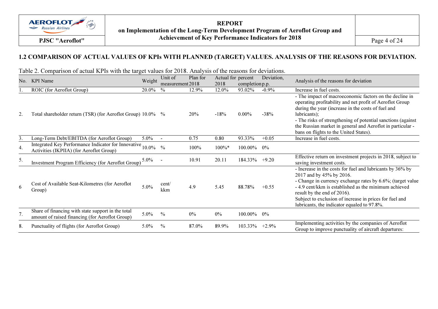

REPORT on Implementation of the Long-Term Development Program of Aeroflot Group and PJSC "Aeroflot" Achievement of Key Performance Indicators for 2018 Page 4 of 24

# 1.2 COMPARISON OF ACTUAL VALUES OF KPIs WITH PLANNED (TARGET) VALUES. ANALYSIS OF THE REASONS FOR DEVIATION.

Table 2. Comparison of actual KPIs with the target values for 2018. Analysis of the reasons for deviations.

| No. | <b>KPI</b> Name                                                                                       | Weight  | Unit of<br>measurement 2018 | Plan for | Actual for percent<br>2018 | completion p.p. | Deviation, | Analysis of the reasons for deviation                                                                                                                                                                                                                                                                                                                             |
|-----|-------------------------------------------------------------------------------------------------------|---------|-----------------------------|----------|----------------------------|-----------------|------------|-------------------------------------------------------------------------------------------------------------------------------------------------------------------------------------------------------------------------------------------------------------------------------------------------------------------------------------------------------------------|
|     | ROIC (for Aeroflot Group)                                                                             | 20.0%   | $\frac{0}{0}$               | 12.9%    | 12.0%                      | 93.02%          | $-0.9%$    | Increase in fuel costs.                                                                                                                                                                                                                                                                                                                                           |
| 2.  | Total shareholder return (TSR) (for Aeroflot Group) 10.0% %                                           |         |                             | 20%      | $-18%$                     | $0.00\%$        | $-38%$     | - The impact of macroeconomic factors on the decline in<br>operating profitability and net profit of Aeroflot Group<br>during the year (increase in the costs of fuel and<br>lubricants);<br>- The risks of strengthening of potential sanctions (against<br>the Russian market in general and Aeroflot in particular -<br>bans on flights to the United States). |
| 3.  | Long-Term Debt/EBITDA (for Aeroflot Group)                                                            | $5.0\%$ | $\overline{\phantom{a}}$    | 0.75     | 0.80                       | 93.33%          | $+0.05$    | Increase in fuel costs.                                                                                                                                                                                                                                                                                                                                           |
| 4.  | Integrated Key Performance Indicator for Innovative 10.0%<br>Activities (IKPIIA) (for Aeroflot Group) |         | $\frac{0}{0}$               | 100%     | $100\%*$                   | $100.00\%$      | 0%         |                                                                                                                                                                                                                                                                                                                                                                   |
| 5.  | Investment Program Efficiency (for Aeroflot Group)                                                    | $5.0\%$ |                             | 10.91    | 20.11                      | 184.33%         | $+9.20$    | Effective return on investment projects in 2018, subject to<br>saving investment costs.                                                                                                                                                                                                                                                                           |
| 6   | Cost of Available Seat-Kilometres (for Aeroflot<br>Group)                                             | $5.0\%$ | cent/<br>kkm                | 4.9      | 5.45                       | 88.78%          | $+0.55$    | - Increase in the costs for fuel and lubricants by 36% by<br>2017 and by 45% by 2016.<br>- Change in currency exchange rates by 6.6%; (target value<br>- 4.9 cent/kkm is established as the minimum achieved<br>result by the end of 2016).<br>Subject to exclusion of increase in prices for fuel and<br>lubricants, the indicator equaled to 97.8%.             |
| 7.  | Share of financing with state support in the total<br>amount of raised financing (for Aeroflot Group) | $5.0\%$ | $\frac{0}{0}$               | $0\%$    | $0\%$                      | 100.00%         | $0\%$      |                                                                                                                                                                                                                                                                                                                                                                   |
| 8.  | Punctuality of flights (for Aeroflot Group)                                                           | $5.0\%$ | $\frac{0}{0}$               | 87.0%    | 89.9%                      | 103.33%         | $+2.9%$    | Implementing activities by the companies of Aeroflot<br>Group to improve punctuality of aircraft departures:                                                                                                                                                                                                                                                      |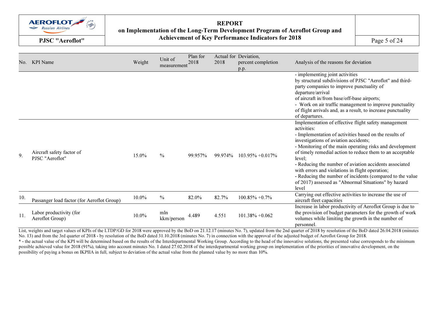

#### REPORT on Implementation of the Long-Term Development Program of Aeroflot Group and Achievement of Key Performance Indicators for 2018 PJSC "Aeroflot" $Page 5 of 24$

| No. | <b>KPI</b> Name                              | Weight | Unit of<br>measurement | Plan for<br>2018 | 2018    | Actual for Deviation,<br>percent completion<br>p.p. | Analysis of the reasons for deviation                                                                                                                                                                                                                                                                                                                                                                                                                                                                                                                |
|-----|----------------------------------------------|--------|------------------------|------------------|---------|-----------------------------------------------------|------------------------------------------------------------------------------------------------------------------------------------------------------------------------------------------------------------------------------------------------------------------------------------------------------------------------------------------------------------------------------------------------------------------------------------------------------------------------------------------------------------------------------------------------------|
|     |                                              |        |                        |                  |         |                                                     | - implementing joint activities<br>by structural subdivisions of PJSC "Aeroflot" and third-<br>party companies to improve punctuality of<br>departure/arrival<br>of aircraft in/from base/off-base airports;<br>- Work on air traffic management to improve punctuality<br>of flight arrivals and, as a result, to increase punctuality<br>of departures.                                                                                                                                                                                            |
| 9.  | Aircraft safety factor of<br>PJSC "Aeroflot" | 15.0%  | $\frac{0}{0}$          | 99.957%          | 99.974% | $103.95\% + 0.017\%$                                | Implementation of effective flight safety management<br>activities:<br>- Implementation of activities based on the results of<br>investigations of aviation accidents;<br>- Monitoring of the main operating risks and development<br>of timely remedial action to reduce them to an acceptable<br>level;<br>- Reducing the number of aviation accidents associated<br>with errors and violations in flight operation;<br>- Reducing the number of incidents (compared to the value<br>of 2017) assessed as "Abnormal Situations" by hazard<br>level |
| 10. | Passanger load factor (for Aeroflot Group)   | 10.0%  | $\%$                   | 82.0%            | 82.7%   | $100.85\% + 0.7\%$                                  | Carrying out effective activities to increase the use of<br>aircraft fleet capacities                                                                                                                                                                                                                                                                                                                                                                                                                                                                |
| 11. | Labor productivity (for<br>Aeroflot Group)   | 10.0%  | mln<br>kkm/person      | 4.489            | 4.551   | $101.38\% + 0.062$                                  | Increase in labor productivity of Aeroflot Group is due to<br>the provision of budget parameters for the growth of work<br>volumes while limiting the growth in the number of<br>personnel.                                                                                                                                                                                                                                                                                                                                                          |

List, weights and target values of KPIs of the LTDP/GD for 2018 were approved by the BoD on 21.12.17 (minutes No. 7), updated from the 2nd quarter of 2018 by resolution of the BoD dated 26.04.2018 (minutes No. 13) and from the 3rd quarter of 2018 - by resolution of the BoD dated 31.10.2018 (minutes No. 7) in connection with the approval of the adjusted budget of Aeroflot Group for 2018. \* - the actual value of the KPI will be determined based on the results of the Interdepartmental Working Group. According to the head of the innovative solutions, the presented value corresponds to the minimum

possible achieved value for 2018 (91%), taking into account minutes No. 1 dated 27.02.2018 of the interdepartmental working group on implementation of the priorities of innovative development, on the possibility of paying a bonus on IKPIIA in full, subject to deviation of the actual value from the planned value by no more than 10%.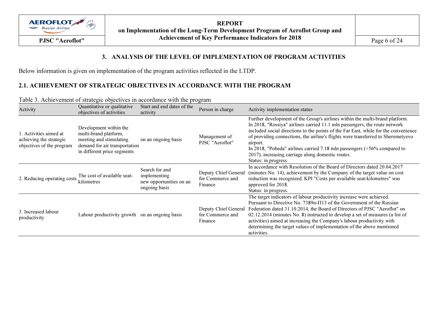

REPORT on Implementation of the Long-Term Development Program of Aeroflot Group and PJSC "Aeroflot" Achievement of Key Performance Indicators for 2018 Page 6 of 24

### 3. ANALYSIS OF THE LEVEL OF IMPLEMENTATION OF PROGRAM ACTIVITIES

Below information is given on implementation of the program activities reflected in the LTDP.

# 2.1. ACHIEVEMENT OF STRATEGIC OBJECTIVES IN ACCORDANCE WITH THE PROGRAM

| Activity                                                                       | Quantitative or qualitative<br>objectives of activities                                                                                    | Start and end dates of the<br>activity                                     | Person in charge                                    | Activity implementation status                                                                                                                                                                                                                                                                                                                                                                                                                                                                                |
|--------------------------------------------------------------------------------|--------------------------------------------------------------------------------------------------------------------------------------------|----------------------------------------------------------------------------|-----------------------------------------------------|---------------------------------------------------------------------------------------------------------------------------------------------------------------------------------------------------------------------------------------------------------------------------------------------------------------------------------------------------------------------------------------------------------------------------------------------------------------------------------------------------------------|
| 1. Activities aimed at<br>achieving the strategic<br>objectives of the program | Development within the<br>multi-brand platform,<br>meeting and stimulating<br>demand for air transportation<br>in different price segments | on an ongoing basis                                                        | Management of<br>PJSC "Aeroflot"                    | Further development of the Group's airlines within the multi-brand platform.<br>In 2018, "Rossiya" airlines carried 11.1 mln passengers, the route network<br>included social directions to the points of the Far East, while for the convenience<br>of providing connections, the airline's flights were transferred to Sheremetyevo<br>airport.<br>In 2018, "Pobeda" airlines carried 7.18 mln passengers $(+56\%$ compared to<br>2017), increasing carriage along domestic routes.<br>Status: in progress. |
| 2. Reducing operating costs                                                    | The cost of available seat-<br>kilometres                                                                                                  | Search for and<br>implementing<br>new opportunities on an<br>ongoing basis | Deputy Chief General<br>for Commerce and<br>Finance | In accordance with Resolution of the Board of Directors dated 20.04.2017<br>(minutes No. 14), achievement by the Company of the target value on cost<br>reduction was recognized. KPI "Costs per available seat-kilometres" was<br>approved for 2018.<br>Status: in progress.                                                                                                                                                                                                                                 |
| 3. Increased labour<br>productivity                                            | Labour productivity growth                                                                                                                 | on an ongoing basis                                                        | Deputy Chief General<br>for Commerce and<br>Finance | The target indicators of labour productivity increase were achieved.<br>Pursuant to Directive No. 7389 $\pi$ - $\Pi$ 13 of the Government of the Russian<br>Federation dated 31.10.2014, the Board of Directors of PJSC "Aeroflot" on<br>02.12.2014 (minutes No. 8) instructed to develop a set of measures (a list of<br>activities) aimed at increasing the Company's labour productivity with<br>determining the target values of implementation of the above mentioned<br>activities.                     |

Table 3. Achievement of strategic objectives in accordance with the program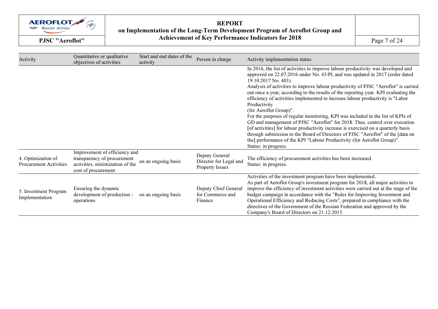

# REPORTon Implementation of the Long-Term Development Program of Aeroflot Group and<br>PJSC "Aeroflot" Achievement of Key Performance Indicators for 2018 Page 7 of 24

| Activity                                            | Quantitative or qualitative<br>objectives of activities                                                                | Start and end dates of the<br>activity | Person in charge                                                   | Activity implementation status                                                                                                                                                                                                                                                                                                                                                                                                                                                                                                                                                                                                                                                                                                                                                                                                                                                                                                                    |
|-----------------------------------------------------|------------------------------------------------------------------------------------------------------------------------|----------------------------------------|--------------------------------------------------------------------|---------------------------------------------------------------------------------------------------------------------------------------------------------------------------------------------------------------------------------------------------------------------------------------------------------------------------------------------------------------------------------------------------------------------------------------------------------------------------------------------------------------------------------------------------------------------------------------------------------------------------------------------------------------------------------------------------------------------------------------------------------------------------------------------------------------------------------------------------------------------------------------------------------------------------------------------------|
|                                                     |                                                                                                                        |                                        |                                                                    | In 2016, the list of activities to improve labour productivity was developed and<br>approved on 22.07.2016 under No. 43/Pl, and was updated in 2017 (order dated<br>19.10.2017 No. 403).<br>Analysis of activities to improve labour productivity of PJSC "Aeroflot" is carried<br>out once a year, according to the results of the reporting year. KPI evaluating the<br>efficiency of activities implemented to increase labour productivity is "Labor"<br>Productivity<br>(for Aeroflot Group)".<br>For the purposes of regular monitoring, KPI was included in the list of KPIs of<br>GD and management of PJSC "Aeroflot" for 2018. Thus, control over execution<br>[of activities] for labour productivity increase is exercised on a quarterly basis<br>through submission to the Board of Directors of PJSC "Aeroflot" of the [data on<br>the] performance of the KPI "Labour Productivity (for Aeroflot Group)".<br>Status: in progress. |
| 4. Optimization of<br><b>Procurement Activities</b> | Improvement of efficiency and<br>transparency of procurement<br>activities, minimization of the<br>cost of procurement | on an ongoing basis                    | Deputy General<br>Director for Legal and<br><b>Property Issues</b> | The efficiency of procurement activities has been increased.<br>Status: in progress.                                                                                                                                                                                                                                                                                                                                                                                                                                                                                                                                                                                                                                                                                                                                                                                                                                                              |
| 5. Investment Program<br>Implementation             | Ensuring the dynamic<br>development of production -<br>operations                                                      | on an ongoing basis                    | Deputy Chief General<br>for Commerce and<br>Finance                | Activities of the investment program have been implemented.<br>As part of Aeroflot Group's investment program for 2018, all major activities to<br>improve the efficiency of investment activities were carried out at the stage of the<br>budget campaign in accordance with the "Rules for Improving Investment and<br>Operational Efficiency and Reducing Costs", prepared in compliance with the<br>directives of the Government of the Russian Federation and approved by the<br>Company's Board of Directors on 21.12.2015.                                                                                                                                                                                                                                                                                                                                                                                                                 |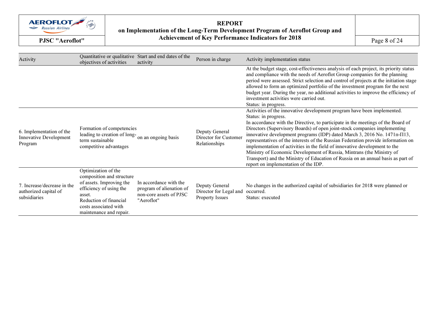

# REPORTon Implementation of the Long-Term Development Program of Aeroflot Group and<br>PJSC "Aeroflot" Achievement of Key Performance Indicators for 2018 Page 8 of 24

| Activity                                                             | Quantitative or qualitative<br>objectives of activities                                                                                                                                         | Start and end dates of the<br>activity                                                      | Person in charge                                                   | Activity implementation status                                                                                                                                                                                                                                                                                                                                                                                                                                                                                                                                                                                                                                                                                       |
|----------------------------------------------------------------------|-------------------------------------------------------------------------------------------------------------------------------------------------------------------------------------------------|---------------------------------------------------------------------------------------------|--------------------------------------------------------------------|----------------------------------------------------------------------------------------------------------------------------------------------------------------------------------------------------------------------------------------------------------------------------------------------------------------------------------------------------------------------------------------------------------------------------------------------------------------------------------------------------------------------------------------------------------------------------------------------------------------------------------------------------------------------------------------------------------------------|
|                                                                      |                                                                                                                                                                                                 |                                                                                             |                                                                    | At the budget stage, cost-effectiveness analysis of each project, its priority status<br>and compliance with the needs of Aeroflot Group companies for the planning<br>period were assessed. Strict selection and control of projects at the initiation stage<br>allowed to form an optimized portfolio of the investment program for the next<br>budget year. During the year, no additional activities to improve the efficiency of<br>investment activities were carried out.<br>Status: in progress.                                                                                                                                                                                                             |
| 6. Implementation of the<br>Innovative Development<br>Program        | Formation of competencies<br>leading to creation of long-<br>term sustainable<br>competitive advantages                                                                                         | on an ongoing basis                                                                         | Deputy General<br>Director for Customer<br>Relationships           | Activities of the innovative development program have been implemented.<br>Status: in progress.<br>In accordance with the Directive, to participate in the meetings of the Board of<br>Directors (Supervisory Boards) of open joint-stock companies implementing<br>innovative development programs (IDP) dated March 3, 2016 No. 1471π-Π13,<br>representatives of the interests of the Russian Federation provide information on<br>implementation of activities in the field of innovative development to the<br>Ministry of Economic Development of Russia, Mintrans (the Ministry of<br>Transport) and the Ministry of Education of Russia on an annual basis as part of<br>report on implementation of the IDP. |
| 7. Increase/decrease in the<br>authorized capital of<br>subsidiaries | Optimization of the<br>composition and structure<br>of assets. Improving the<br>efficiency of using the<br>asset.<br>Reduction of financial<br>costs associated with<br>maintenance and repair. | In accordance with the<br>program of alienation of<br>non-core assets of PJSC<br>"Aeroflot" | Deputy General<br>Director for Legal and<br><b>Property Issues</b> | No changes in the authorized capital of subsidiaries for 2018 were planned or<br>occurred.<br>Status: executed                                                                                                                                                                                                                                                                                                                                                                                                                                                                                                                                                                                                       |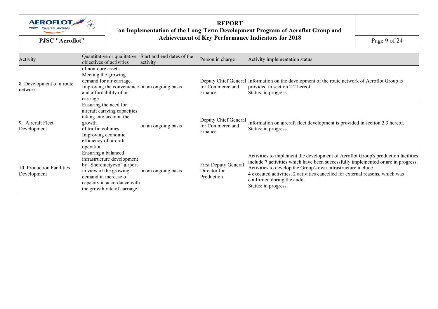

REPORTon Implementation of the Long-Term Development Program of Aeroflot Group and<br>PJSC "Aeroflot" Achievement of Key Performance Indicators for 2018 Page 9 of 24

| Activity                                 | Quantitative or qualitative<br>objectives of activities                                                                                                                                         | Start and end dates of the<br>activity | Person in charge                                    | Activity implementation status                                                                                                                                                                                                                                                                                                                                                 |
|------------------------------------------|-------------------------------------------------------------------------------------------------------------------------------------------------------------------------------------------------|----------------------------------------|-----------------------------------------------------|--------------------------------------------------------------------------------------------------------------------------------------------------------------------------------------------------------------------------------------------------------------------------------------------------------------------------------------------------------------------------------|
|                                          | of non-core assets.                                                                                                                                                                             |                                        |                                                     |                                                                                                                                                                                                                                                                                                                                                                                |
| 8. Development of a route<br>network     | Meeting the growing<br>demand for air carriage.<br>Improving the convenience on an ongoing basis<br>and affordability of air<br>carriage.                                                       |                                        | for Commerce and<br>Finance                         | Deputy Chief General Information on the development of the route network of Aeroflot Group is<br>provided in section 2.2 hereof.<br>Status: in progress.                                                                                                                                                                                                                       |
| 9. Aircraft Fleet<br>Development         | Ensuring the need for<br>aircraft carrying capacities<br>taking into account the<br>growth<br>of traffic volumes.<br>Improving economic<br>efficiency of aircraft<br>operation.                 | on an ongoing basis                    | Deputy Chief General<br>for Commerce and<br>Finance | Information on aircraft fleet development is provided in section 2.3 hereof.<br>Status: in progress.                                                                                                                                                                                                                                                                           |
| 10. Production Facilities<br>Development | Ensuring a balanced<br>infrastructure development<br>by "Sheremetyevo" airport<br>in view of the growing<br>demand in increase of<br>capacity in accordance with<br>the growth rate of carriage | on an ongoing basis                    | First Deputy General<br>Director for<br>Production  | Activities to implement the development of Aeroflot Group's production facilities<br>include 7 activities which have been successfully implemented or are in progress.<br>Activities to develop the Group's own infrastructure include<br>4 executed activities, 2 activities cancelled for external reasons, which was<br>confirmed during the audit.<br>Status: in progress. |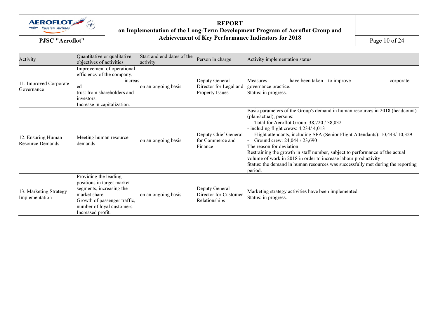

# REPORTon Implementation of the Long-Term Development Program of Aeroflot Group and<br>
PJSC "Aeroflot" Achievement of Key Performance Indicators for 2018 Page 10 of 24

| Activity                                      | Quantitative or qualitative<br>objectives of activities                                                                                                                             | Start and end dates of the<br>activity | Person in charge                                                   | Activity implementation status                                                                                                                                                                                                                                                                                                                                                                                                                                                                                                                                                                   |
|-----------------------------------------------|-------------------------------------------------------------------------------------------------------------------------------------------------------------------------------------|----------------------------------------|--------------------------------------------------------------------|--------------------------------------------------------------------------------------------------------------------------------------------------------------------------------------------------------------------------------------------------------------------------------------------------------------------------------------------------------------------------------------------------------------------------------------------------------------------------------------------------------------------------------------------------------------------------------------------------|
| 11. Improved Corporate<br>Governance          | Improvement of operational<br>efficiency of the company,<br>increas<br>ed<br>trust from shareholders and<br>investors.<br>Increase in capitalization.                               | on an ongoing basis                    | Deputy General<br>Director for Legal and<br><b>Property Issues</b> | Measures<br>have been taken to improve<br>corporate<br>governance practice.<br>Status: in progress.                                                                                                                                                                                                                                                                                                                                                                                                                                                                                              |
| 12. Ensuring Human<br><b>Resource Demands</b> | Meeting human resource<br>demands                                                                                                                                                   | on an ongoing basis                    | Deputy Chief General<br>for Commerce and<br>Finance                | Basic parameters of the Group's demand in human resources in 2018 (headcount)<br>(plan/actual), persons:<br>- Total for Aeroflot Group: 38,720 / 38,032<br>- including flight crews: 4,234/4,013<br>Flight attendants, including SFA (Senior Flight Attendants): 10,443/10,329<br>- Ground crew: $24,044 / 23,690$<br>The reason for deviation:<br>Restraining the growth in staff number, subject to performance of the actual<br>volume of work in 2018 in order to increase labour productivity<br>Status: the demand in human resources was successfully met during the reporting<br>period. |
| 13. Marketing Strategy<br>Implementation      | Providing the leading<br>positions in target market<br>segments, increasing the<br>market share.<br>Growth of passenger traffic,<br>number of loyal customers.<br>Increased profit. | on an ongoing basis                    | Deputy General<br>Director for Customer<br>Relationships           | Marketing strategy activities have been implemented.<br>Status: in progress.                                                                                                                                                                                                                                                                                                                                                                                                                                                                                                                     |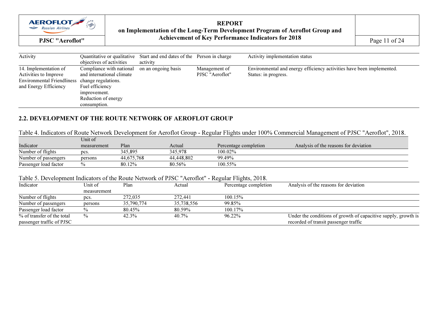

# REPORT on Implementation of the Long-Term Development Program of Aeroflot Group and PJSC "Aeroflot" **Achievement of Key Performance Indicators for 2018** Page 11 of 24

| Activity                                                                                                     | Quantitative or qualitative<br>objectives of activities                                                                                                | Start and end dates of the Person in charge<br>activity |                                  | Activity implementation status                                                                |
|--------------------------------------------------------------------------------------------------------------|--------------------------------------------------------------------------------------------------------------------------------------------------------|---------------------------------------------------------|----------------------------------|-----------------------------------------------------------------------------------------------|
| 14. Implementation of<br>Activities to Improve<br><b>Environmental Friendliness</b><br>and Energy Efficiency | Compliance with national<br>and international climate<br>change regulations.<br>Fuel efficiency<br>improvement.<br>Reduction of energy<br>consumption. | on an ongoing basis                                     | Management of<br>PJSC "Aeroflot" | Environmental and energy efficiency activities have been implemented.<br>Status: in progress. |

# 2.2. DEVELOPMENT OF THE ROUTE NETWORK OF AEROFLOT GROUP

#### Table 4. Indicators of Route Network Development for Aeroflot Group - Regular Flights under 100% Commercial Management of PJSC "Aeroflot", 2018.

|                       | Unit of     |            |            |                       |                                       |
|-----------------------|-------------|------------|------------|-----------------------|---------------------------------------|
| Indicator             | measurement | Plan       | Actual     | Percentage completion | Analysis of the reasons for deviation |
| Number of flights     | pcs.        | 345.895    | 345.978    | $100.02\%$            |                                       |
| Number of passengers  | persons     | 44.675.768 | 44.448.802 | 99.49%                |                                       |
| Passenger load factor |             | 80.12%     | 80.56%     | $100.55\%$            |                                       |

#### Table 5. Development Indicators of the Route Network of PJSC "Aeroflot" - Regular Flights, 2018.

| Indicator                  | Unit of       | Plan       | Actual     | Percentage completion | Analysis of the reasons for deviation                          |
|----------------------------|---------------|------------|------------|-----------------------|----------------------------------------------------------------|
|                            | measurement   |            |            |                       |                                                                |
| Number of flights          | pcs.          | 272,035    | 272,441    | $100.15\%$            |                                                                |
| Number of passengers       | persons       | 35,790,774 | 35.738.556 | 99.85%                |                                                                |
| Passenger load factor      |               | 80.45%     | 80.59%     | $100.17\%$            |                                                                |
| % of transfer of the total | $\frac{0}{0}$ | 42.3%      | 40.7%      | 96.22%                | Under the conditions of growth of capacitive supply, growth is |
| passenger traffic of PJSC  |               |            |            |                       | recorded of transit passenger traffic                          |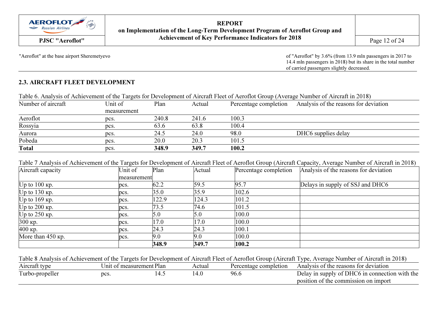

REPORT on Implementation of the Long-Term Development Program of Aeroflot Group and Achievement of Key Performance Indicators for 2018 PJSC "Aeroflot" $Page 12 of 24$ 

"Aeroflot" at the base airport Sheremetyevo of "Aeroflot" by 3.6% (from 13.9 mln passengers in 2017 to 14.4 mln passengers in 2018) but its share in the total number of carried passengers slightly decreased.

# 2.3. AIRCRAFT FLEET DEVELOPMENT

### Table 6. Analysis of Achievement of the Targets for Development of Aircraft Fleet of Aeroflot Group (Average Number of Aircraft in 2018)

| Number of aircraft | Unit of     | Plan  | Actual | Percentage completion | Analysis of the reasons for deviation |
|--------------------|-------------|-------|--------|-----------------------|---------------------------------------|
|                    | measurement |       |        |                       |                                       |
| Aeroflot           | pcs.        | 240.8 | 241.6  | 100.3                 |                                       |
| Rossyia            | pcs.        | 63.6  | 63.8   | 100.4                 |                                       |
| Aurora             | pcs.        | 24.5  | 24.0   | 98.0                  | DHC6 supplies delay                   |
| Pobeda             | pcs.        | 20.0  | 20.3   | 101.5                 |                                       |
| <b>Total</b>       | pcs.        | 348.9 | 349.7  | 100.2                 |                                       |

#### Table 7 Analysis of Achievement of the Targets for Development of Aircraft Fleet of Aeroflot Group (Aircraft Capacity, Average Number of Aircraft in 2018)

| Aircraft capacity | Unit of     | Plan  | Actual | Percentage completion | Analysis of the reasons for deviation |  |  |  |  |
|-------------------|-------------|-------|--------|-----------------------|---------------------------------------|--|--|--|--|
|                   | measurement |       |        |                       |                                       |  |  |  |  |
| $Up$ to 100 кр.   | pcs.        | 62.2  | 59.5   | 95.7                  | Delays in supply of SSJ and DHC6      |  |  |  |  |
| Uр to $130$ кр.   | pcs.        | 35.0  | 35.9   | 102.6                 |                                       |  |  |  |  |
| Uр to $169$ кр.   | pcs.        | 122.9 | 124.3  | 101.2                 |                                       |  |  |  |  |
| Uр to $200$ кр.   | pcs.        | 73.5  | 74.6   | 101.5                 |                                       |  |  |  |  |
| Uр to $250$ кр.   | pcs.        | 5.0   | 5.0    | 100.0                 |                                       |  |  |  |  |
| 300 кр.           | pcs.        | 17.0  | 17.0   | 100.0                 |                                       |  |  |  |  |
| 400 кр.           | pcs.        | 24.3  | 24.3   | 100.1                 |                                       |  |  |  |  |
| More than 450 кр. | pcs.        | 9.0   | 9.0    | 100.0                 |                                       |  |  |  |  |
|                   |             | 348.9 | 349.7  | 100.2                 |                                       |  |  |  |  |

#### Table 8 Analysis of Achievement of the Targets for Development of Aircraft Fleet of Aeroflot Group (Aircraft Type, Average Number of Aircraft in 2018)

| Aircraft type                   | f measurement Plan<br>Jnit of |    | Actual | Percentage completion | Analysis of the reasons for deviation                                                  |
|---------------------------------|-------------------------------|----|--------|-----------------------|----------------------------------------------------------------------------------------|
| $\mathbf{r}$<br>Turbo-propeller | pcs.                          | ᠇. |        | 96.6                  | Delay in supply of DHC6 in connection with the<br>position of the commission on import |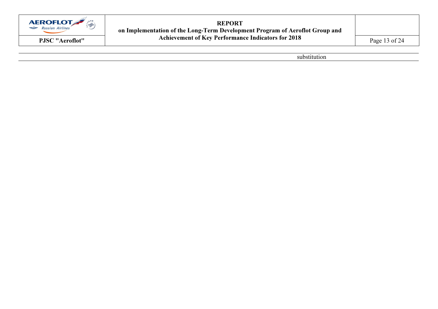

REPORTon Implementation of the Long-Term Development Program of Aeroflot Group and<br>
PJSC "Aeroflot" Achievement of Key Performance Indicators for 2018 Page 13 of 24

substitution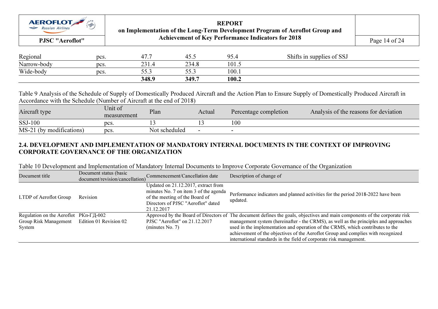

#### REPORT on Implementation of the Long-Term Development Program of Aeroflot Group and Achievement of Key Performance Indicators for 2018 PJSC "Aeroflot" $Page 14 of 24$

| Regional    | pcs. | 47.7          | 40.0            | 05<br>19.4 | Shifts in supplies of SSJ |  |
|-------------|------|---------------|-----------------|------------|---------------------------|--|
| Narrow-body | pcs. | 231<br>∠JI, T | 234.8           | 101.5      |                           |  |
| Wide-body   | pcs. | -- -<br>JJ.J  | $- - -$<br>JJ.J | 100.1      |                           |  |
|             |      | 348.9         | 349.7           | 100.2      |                           |  |

Table 9 Analysis of the Schedule of Supply of Domestically Produced Aircraft and the Action Plan to Ensure Supply of Domestically Produced Aircraft in Accordance with the Schedule (Number of Aircraft at the end of 2018)

| Aircraft type                 | Unit of<br>measurement | Plan          | Actual | Percentage completion | Analysis of the reasons for deviation |
|-------------------------------|------------------------|---------------|--------|-----------------------|---------------------------------------|
| <b>SSJ-100</b>                | pcs.                   |               |        | 100                   |                                       |
| (by modifications)<br>$MS-21$ | pcs.                   | Not scheduled |        |                       |                                       |

# 2.4. DEVELOPMENT AND IMPLEMENTATION OF MANDATORY INTERNAL DOCUMENTS IN THE CONTEXT OF IMPROVING CORPORATE GOVERNANCE OF THE ORGANIZATION

Table 10 Development and Implementation of Mandatory Internal Documents to Improve Corporate Governance of the Organization

| Document title                                          | Document status (basic<br>document/revision/cancellation) | Commencement/Cancellation date                                                                                                                                     | Description of change of                                                                                                   |
|---------------------------------------------------------|-----------------------------------------------------------|--------------------------------------------------------------------------------------------------------------------------------------------------------------------|----------------------------------------------------------------------------------------------------------------------------|
| LTDP of Aeroflot Group                                  | Revision                                                  | Updated on 21.12.2017, extract from<br>minutes No. 7 on item 3 of the agenda<br>of the meeting of the Board of<br>Directors of PJSC "Aeroflot" dated<br>21.12.2017 | Performance indicators and planned activities for the period 2018-2022 have been<br>updated.                               |
| Regulation on the Aeroflot $PK \pi$ - $\Gamma \pi$ -002 |                                                           |                                                                                                                                                                    | Approved by the Board of Directors of The document defines the goals, objectives and main components of the corporate risk |
| Group Risk Management                                   | Edition 01 Revision 02                                    | PJSC "Aeroflot" on $21.12.2017$                                                                                                                                    | management system (hereinafter - the CRMS), as well as the principles and approaches                                       |
| System                                                  |                                                           | (minutes No. 7)                                                                                                                                                    | used in the implementation and operation of the CRMS, which contributes to the                                             |
|                                                         |                                                           |                                                                                                                                                                    | achievement of the objectives of the Aeroflot Group and complies with recognized                                           |
|                                                         |                                                           |                                                                                                                                                                    | international standards in the field of corporate risk management.                                                         |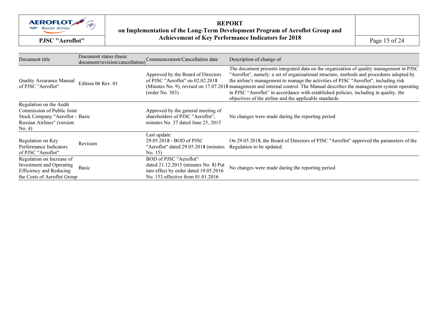

REPORTon Implementation of the Long-Term Development Program of Aeroflot Group and<br>
PJSC "Aeroflot" Achievement of Key Performance Indicators for 2018 Page 15 of 24

| Document title                                                                                                                   | Document status (basic<br>document/revision/cancellation) | Commencement/Cancellation date                                                                                                               | Description of change of                                                                                                                                                                                                                                                                                                                                                                                                                                                                                                                                        |
|----------------------------------------------------------------------------------------------------------------------------------|-----------------------------------------------------------|----------------------------------------------------------------------------------------------------------------------------------------------|-----------------------------------------------------------------------------------------------------------------------------------------------------------------------------------------------------------------------------------------------------------------------------------------------------------------------------------------------------------------------------------------------------------------------------------------------------------------------------------------------------------------------------------------------------------------|
| <b>Quality Assurance Manual</b><br>of PJSC "Aeroflot"                                                                            | Edition 06 Rev. 01                                        | Approved by the Board of Directors<br>of PJSC "Aeroflot" on $02.02.2018$<br>(order No. 303)                                                  | The document presents integrated data on the organization of quality management in PJSC<br>"Aeroflot", namely: a set of organizational structure, methods and procedures adopted by<br>the airline's management to manage the activities of PJSC "Aeroflot", including risk<br>(Minutes No. 9), revised on 17.07.2018 management and internal control. The Manual describes the management system operating<br>in PJSC "Aeroflot" in accordance with established policies, including in quality, the<br>objectives of the airline and the applicable standards. |
| Regulation on the Audit<br>Commission of Public Joint<br>Stock Company "Aeroflot - Basic<br>Russian Airlines" (version<br>No. 4) |                                                           | Approved by the general meeting of<br>shareholders of PJSC "Aeroflot",<br>minutes No. 37 dated June 25, 2015                                 | No changes were made during the reporting period                                                                                                                                                                                                                                                                                                                                                                                                                                                                                                                |
| Regulation on Key<br>Performance Indicators<br>of PJSC "Aeroflot".                                                               | Revision                                                  | Last update:<br>29.05.2018 - BOD of PJSC<br>"Aeroflot" dated 29.05.2018 (minutes<br>No. 15)                                                  | On 29.05.2018, the Board of Directors of PJSC "Aeroflot" approved the parameters of the<br>Regulation to be updated.                                                                                                                                                                                                                                                                                                                                                                                                                                            |
| Regulation on Increase of<br>Investment and Operating<br><b>Efficiency and Reducing</b><br>the Costs of Aeroflot Group           | Basic                                                     | BOD of PJSC "Aeroflot"<br>dated 21.12.2015 (minutes No. 8) Put<br>into effect by order dated 19.05.2016<br>No. 153 effective from 01.01.2016 | No changes were made during the reporting period                                                                                                                                                                                                                                                                                                                                                                                                                                                                                                                |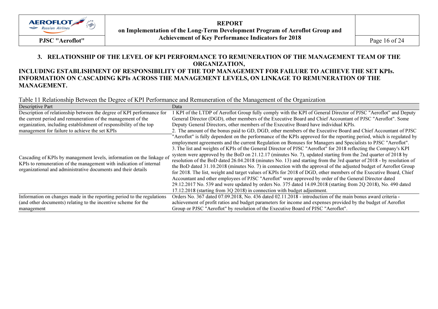

REPORT on Implementation of the Long-Term Development Program of Aeroflot Group and Achievement of Key Performance Indicators for 2018 PJSC "Aeroflot" $Page 16 of 24$ 

### 3. RELATIONSHIP OF THE LEVEL OF KPI PERFORMANCE TO REMUNERATION OF THE MANAGEMENT TEAM OF THE ORGANIZATION, INCLUDING ESTABLISHMENT OF RESPONSIBILITY OF THE TOP MANAGEMENT FOR FAILURE TO ACHIEVE THE SET KPIs. INFORMATION ON CASCADING KPIs ACROSS THE MANAGEMENT LEVELS, ON LINKAGE TO REMUNERATION OF THE MANAGEMENT.

Table 11 Relationship Between the Degree of KPI Performance and Remuneration of the Management of the Organization

| Descriptive Part                                                                                                                                                                                             | Data                                                                                                                                                                                                                                                                                                                                                                                                                                                                                                                                                                                                                                                                                                                                                                                                                                                                                                                                                                                                                                                                                                                                                |
|--------------------------------------------------------------------------------------------------------------------------------------------------------------------------------------------------------------|-----------------------------------------------------------------------------------------------------------------------------------------------------------------------------------------------------------------------------------------------------------------------------------------------------------------------------------------------------------------------------------------------------------------------------------------------------------------------------------------------------------------------------------------------------------------------------------------------------------------------------------------------------------------------------------------------------------------------------------------------------------------------------------------------------------------------------------------------------------------------------------------------------------------------------------------------------------------------------------------------------------------------------------------------------------------------------------------------------------------------------------------------------|
| Description of relationship between the degree of KPI performance for                                                                                                                                        | 1 KPI of the LTDP of Aeroflot Group fully comply with the KPI of General Director of PJSC "Aeroflot" and Deputy                                                                                                                                                                                                                                                                                                                                                                                                                                                                                                                                                                                                                                                                                                                                                                                                                                                                                                                                                                                                                                     |
| the current period and remuneration of the management of the                                                                                                                                                 | General Director (DGD), other members of the Executive Board and Chief Accountant of PJSC "Aeroflot". Some                                                                                                                                                                                                                                                                                                                                                                                                                                                                                                                                                                                                                                                                                                                                                                                                                                                                                                                                                                                                                                          |
| organization, including establishment of responsibility of the top                                                                                                                                           | Deputy General Directors, other members of the Executive Board have individual KPIs.                                                                                                                                                                                                                                                                                                                                                                                                                                                                                                                                                                                                                                                                                                                                                                                                                                                                                                                                                                                                                                                                |
| management for failure to achieve the set KPIs                                                                                                                                                               | 2. The amount of the bonus paid to GD, DGD, other members of the Executive Board and Chief Accountant of PJSC                                                                                                                                                                                                                                                                                                                                                                                                                                                                                                                                                                                                                                                                                                                                                                                                                                                                                                                                                                                                                                       |
| Cascading of KPIs by management levels, information on the linkage of<br>KPIs to remuneration of the management with indication of internal<br>organizational and administrative documents and their details | "Aeroflot" is fully dependent on the performance of the KPIs approved for the reporting period, which is regulated by<br>employment agreements and the current Regulation on Bonuses for Managers and Specialists to PJSC "Aeroflot".<br>3. The list and weights of KPIs of the General Director of PJSC "Aeroflot" for 2018 reflecting the Company's KPI<br>system were approved by the BoD on 21.12.17 (minutes No. 7), updated starting from the 2nd quarter of 2018 by<br>resolution of the BoD dated 26.04.2018 (minutes No. 13) and starting from the 3rd quarter of 2018 - by resolution of<br>the BoD dated 31.10.2018 (minutes No. 7) in connection with the approval of the adjusted budget of Aeroflot Group<br>for 2018. The list, weight and target values of KPIs for 2018 of DGD, other members of the Executive Board, Chief<br>Accountant and other employees of PJSC "Aeroflot" were approved by order of the General Director dated<br>29.12.2017 No. 539 and were updated by orders No. 375 dated 14.09.2018 (starting from 2Q 2018), No. 490 dated<br>17.12.2018 (starting from 3Q 2018) in connection with budget adjustment. |
| Information on changes made in the reporting period to the regulations                                                                                                                                       | Orders No. 367 dated 07.09.2018, No. 436 dated 02.11.2018 - introduction of the main bonus award criteria -                                                                                                                                                                                                                                                                                                                                                                                                                                                                                                                                                                                                                                                                                                                                                                                                                                                                                                                                                                                                                                         |
| (and other documents) relating to the incentive scheme for the                                                                                                                                               | achievement of profit ratios and budget parameters for income and expenses provided by the budget of Aeroflot                                                                                                                                                                                                                                                                                                                                                                                                                                                                                                                                                                                                                                                                                                                                                                                                                                                                                                                                                                                                                                       |
| management                                                                                                                                                                                                   | Group or PJSC "Aeroflot" by resolution of the Executive Board of PJSC "Aeroflot".                                                                                                                                                                                                                                                                                                                                                                                                                                                                                                                                                                                                                                                                                                                                                                                                                                                                                                                                                                                                                                                                   |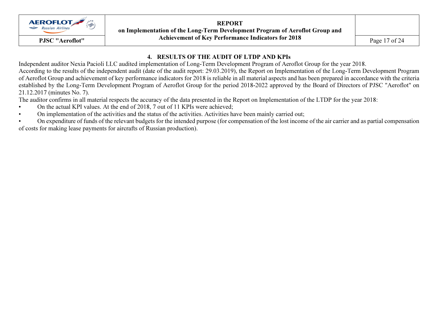

REPORT on Implementation of the Long-Term Development Program of Aeroflot Group and Achievement of Key Performance Indicators for 2018 PJSC "Aeroflot" $Page 17 of 24$ 

# 4. RESULTS OF THE AUDIT OF LTDP AND KPIs

 Independent auditor Nexia Pacioli LLC audited implementation of Long-Term Development Program of Aeroflot Group for the year 2018. According to the results of the independent audit (date of the audit report: 29.03.2019), the Report on Implementation of the Long-Term Development Program of Aeroflot Group and achievement of key performance indicators for 2018 is reliable in all material aspects and has been prepared in accordance with the criteria established by the Long-Term Development Program of Aeroflot Group for the period 2018-2022 approved by the Board of Directors of PJSC "Aeroflot" on 21.12.2017 (minutes No. 7).

The auditor confirms in all material respects the accuracy of the data presented in the Report on Implementation of the LTDP for the year 2018:

- On the actual KPI values. At the end of 2018, 7 out of 11 KPIs were achieved;
- On implementation of the activities and the status of the activities. Activities have been mainly carried out;

 • On expenditure of funds of the relevant budgets for the intended purpose (for compensation of the lost income of the air carrier and as partial compensation of costs for making lease payments for aircrafts of Russian production).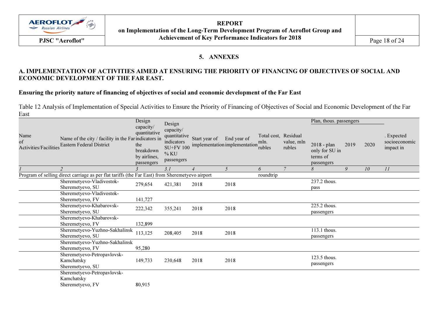

REPORT on Implementation of the Long-Term Development Program of Aeroflot Group and Achievement of Key Performance Indicators for 2018 PJSC "Aeroflot" $Page 18 of 24$ 

### 5. ANNEXES

# A. IMPLEMENTATION OF ACTIVITIES AIMED AT ENSURING THE PRIORITY OF FINANCING OF OBJECTIVES OF SOCIAL AND ECONOMIC DEVELOPMENT OF THE FAR EAST.

#### Ensuring the priority nature of financing of objectives of social and economic development of the Far East

Table 12 Analysis of Implementation of Special Activities to Ensure the Priority of Financing of Objectives of Social and Economic Development of the Far East

|                                     |                                                                                                 | Design<br>capacity/                                            | Design                                                                            |               |                                              |                                        |                      | Plan, thous. passengers                                 |      |      |                                          |  |
|-------------------------------------|-------------------------------------------------------------------------------------------------|----------------------------------------------------------------|-----------------------------------------------------------------------------------|---------------|----------------------------------------------|----------------------------------------|----------------------|---------------------------------------------------------|------|------|------------------------------------------|--|
| Name<br>of<br>Activities/Facilities | Name of the city / facility in the Farindicators in<br><b>Eastern Federal District</b>          | quantitative<br>the<br>breakdown<br>by airlines,<br>passengers | capacity/<br>quantitative<br>indicators<br><b>SU+FV 100</b><br>% KU<br>passengers | Start year of | End year of<br>implementation implementation | Total cost, Residual<br>mln.<br>rubles | value, mln<br>rubles | 2018 - plan<br>only for SU in<br>terms of<br>passengers | 2019 | 2020 | . Expected<br>socioeconomic<br>impact in |  |
|                                     | $\overline{2}$                                                                                  |                                                                | 3.1                                                                               |               | 5                                            | 6                                      | $\overline{7}$       | 8                                                       | 9    | 10   | 11                                       |  |
|                                     | Program of selling direct carriage as per flat tariffs (the Far East) from Sheremetyevo airport |                                                                |                                                                                   |               |                                              | roundtrip                              |                      |                                                         |      |      |                                          |  |
|                                     | Sheremetyevo-Vladivostok-<br>Sheremetyevo, SU                                                   | 279,654                                                        | 421,381                                                                           | 2018          | 2018                                         |                                        |                      | 237.2 thous.<br>pass                                    |      |      |                                          |  |
|                                     | Sheremetyevo-Vladivostok-<br>Sheremetyevo, FV                                                   | 141,727                                                        |                                                                                   |               |                                              |                                        |                      |                                                         |      |      |                                          |  |
|                                     | Sheremetyevo-Khabarovsk-<br>Sheremetyevo, SU                                                    | 222,342                                                        | 355,241                                                                           | 2018          | 2018                                         |                                        |                      | 225.2 thous.<br>passengers                              |      |      |                                          |  |
|                                     | Sheremetyevo-Khabarovsk-<br>Sheremetyevo, FV                                                    | 132,899                                                        |                                                                                   |               |                                              |                                        |                      |                                                         |      |      |                                          |  |
|                                     | Sheremetyevo-Yuzhno-Sakhalinsk<br>Sheremetyevo, SU                                              | 113,125                                                        | 208,405                                                                           | 2018          | 2018                                         |                                        |                      | 113.1 thous.<br>passengers                              |      |      |                                          |  |
|                                     | Sheremetyevo-Yuzhno-Sakhalinsk<br>Sheremetyevo, FV                                              | 95,280                                                         |                                                                                   |               |                                              |                                        |                      |                                                         |      |      |                                          |  |
|                                     | Sheremetyevo-Petropavlovsk-<br>Kamchatsky<br>Sheremetyevo, SU                                   | 149,733                                                        | 230,648                                                                           | 2018          | 2018                                         |                                        |                      | 123.5 thous.<br>passengers                              |      |      |                                          |  |
|                                     | Sheremetyevo-Petropavlovsk-<br>Kamchatsky<br>Sheremetyevo, FV                                   | 80,915                                                         |                                                                                   |               |                                              |                                        |                      |                                                         |      |      |                                          |  |
|                                     |                                                                                                 |                                                                |                                                                                   |               |                                              |                                        |                      |                                                         |      |      |                                          |  |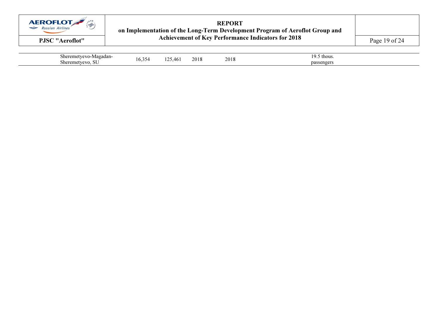

# REPORTon Implementation of the Long-Term Development Program of Aeroflot Group and<br>
PJSC "Aeroflot" Achievement of Key Performance Indicators for 2018 Page 19 of 24

| $\sim$<br>Sheer <sup>2</sup><br>2217<br>oadan - | 7∆ ک | 46  | 2018 | $\bigcap$ $\bigcap$ $\bigcap$ | thous     |
|-------------------------------------------------|------|-----|------|-------------------------------|-----------|
| $\sim$<br><b>Sher</b><br>$\infty$               | 10.3 | , י |      | 2018                          | passenger |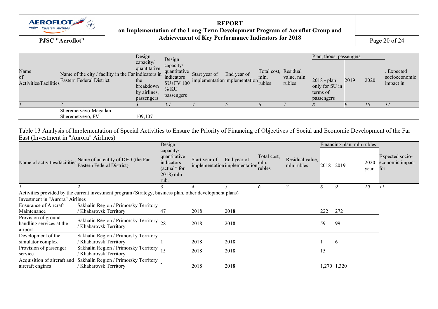

REPORT on Implementation of the Long-Term Development Program of Aeroflot Group and PJSC "Aeroflot" **Achievement of Key Performance Indicators for 2018** Page 20 of 24

| Name<br>of | Name of the city / facility in the Far indicators in<br>Activities/Facilities Eastern Federal District | Design<br>capacity/<br>quantitative<br>the<br>breakdown<br>by airlines,<br>passengers | Design<br>capacity/<br>quantitative<br>indicators<br><b>SU+FV 100</b><br>% KU<br>passengers | Start year of | End year of<br>implementation implementation | Total cost, Residual<br>mln.<br>rubles | value, mln<br>rubles | Plan, thous. passengers<br>$2018 - plan$<br>only for SU in<br>terms of<br>passengers | 2019 | 2020 | . Expected<br>socioeconomic<br>impact in |
|------------|--------------------------------------------------------------------------------------------------------|---------------------------------------------------------------------------------------|---------------------------------------------------------------------------------------------|---------------|----------------------------------------------|----------------------------------------|----------------------|--------------------------------------------------------------------------------------|------|------|------------------------------------------|
|            |                                                                                                        |                                                                                       |                                                                                             |               |                                              |                                        |                      |                                                                                      |      | 10   |                                          |
|            | Sheremetyevo-Magadan-<br>Sheremetyevo, FV                                                              | 109.107                                                                               |                                                                                             |               |                                              |                                        |                      |                                                                                      |      |      |                                          |

Table 13 Analysis of Implementation of Special Activities to Ensure the Priority of Financing of Objectives of Social and Economic Development of the Far East (Investment in "Aurora" Airlines)

| Name of activities/facilities                                                                            | Name of an entity of DFO (the Far<br>Eastern Federal District)   | Design<br>capacity/<br>quantitative<br>indicators<br>(actual* for<br>$2018$ ) mln<br>rub. | Start year of | End year of<br>implementation implementation | Total cost,<br>mln.<br>rubles | Residual value,<br>mln rubles | 2018 | Financing plan, mln rubles<br>2019 | 2020<br>year | Expected socio-<br>economic impact<br>for |
|----------------------------------------------------------------------------------------------------------|------------------------------------------------------------------|-------------------------------------------------------------------------------------------|---------------|----------------------------------------------|-------------------------------|-------------------------------|------|------------------------------------|--------------|-------------------------------------------|
|                                                                                                          |                                                                  |                                                                                           |               |                                              | 6                             |                               | 8    | 9                                  | 10           |                                           |
| Activities provided by the current investment program (Strategy, business plan, other development plans) |                                                                  |                                                                                           |               |                                              |                               |                               |      |                                    |              |                                           |
| <b>Investment in "Aurora" Airlines</b>                                                                   |                                                                  |                                                                                           |               |                                              |                               |                               |      |                                    |              |                                           |
| <b>Ensurance of Aircraft</b><br>Maintenance                                                              | Sakhalin Region / Primorsky Territory<br>Khabarovsk Territory    | 47                                                                                        | 2018          | 2018                                         |                               |                               | 222  | 272                                |              |                                           |
| Provision of ground<br>handling services at the<br>airport                                               | Sakhalin Region / Primorsky Territory 28<br>Khabarovsk Territory |                                                                                           | 2018          | 2018                                         |                               |                               | 59   | 99                                 |              |                                           |
| Development of the                                                                                       | Sakhalin Region / Primorsky Territory                            |                                                                                           |               |                                              |                               |                               |      |                                    |              |                                           |
| simulator complex                                                                                        | Khabarovsk Territory                                             |                                                                                           | 2018          | 2018                                         |                               |                               |      | 6                                  |              |                                           |
| Provision of passenger                                                                                   | Sakhalin Region / Primorsky Territory                            | 15                                                                                        | 2018          | 2018                                         |                               |                               | 15   |                                    |              |                                           |
| service                                                                                                  | Khabarovsk Territory                                             |                                                                                           |               |                                              |                               |                               |      |                                    |              |                                           |
| Acquisition of aircraft and                                                                              | Sakhalin Region / Primorsky Territory                            |                                                                                           |               |                                              |                               |                               |      |                                    |              |                                           |
| aircraft engines                                                                                         | Khabarovsk Territory                                             |                                                                                           | 2018          | 2018                                         |                               |                               |      | 1,270 1,320                        |              |                                           |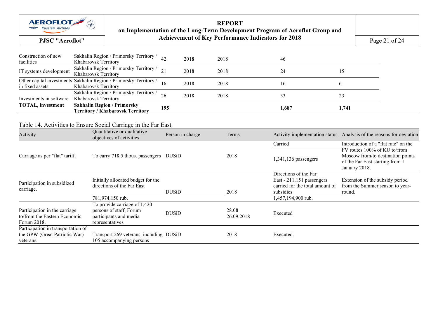

REPORTon Implementation of the Long-Term Development Program of Aeroflot Group and<br>
PJSC "Aeroflot" Achievement of Key Performance Indicators for 2018 Page 21 of 24

| Construction of new<br>facilities                                                | Sakhalin Region / Primorsky Territory /<br>Khabarovsk Territory                                      | 42<br>2018       | 2018                | 46                                                                                                                       |                                                                                                                       |
|----------------------------------------------------------------------------------|------------------------------------------------------------------------------------------------------|------------------|---------------------|--------------------------------------------------------------------------------------------------------------------------|-----------------------------------------------------------------------------------------------------------------------|
| IT systems development                                                           | Sakhalin Region / Primorsky Territory /<br>Khabarovsk Territory                                      | 21<br>2018       | 2018                | 24                                                                                                                       | 15                                                                                                                    |
| in fixed assets                                                                  | Other capital investments Sakhalin Region / Primorsky Territory /<br>Khabarovsk Territory            | 16<br>2018       | 2018                | 16                                                                                                                       | 6                                                                                                                     |
| Investments in software                                                          | Sakhalin Region / Primorsky Territory /<br>Khabarovsk Territory                                      | 26<br>2018       | 2018                | 33                                                                                                                       | 23                                                                                                                    |
| <b>TOTAL, investment</b>                                                         | <b>Sakhalin Region / Primorsky</b><br><b>Territory / Khabarovsk Territory</b>                        | 195              |                     | 1,687                                                                                                                    | 1,741                                                                                                                 |
|                                                                                  | Table 14. Activities to Ensure Social Carriage in the Far East                                       |                  |                     |                                                                                                                          |                                                                                                                       |
| Activity                                                                         | Quantitative or qualitative<br>objectives of activities                                              | Person in charge | Terms               |                                                                                                                          | Activity implementation status  Analysis of the reasons for deviation                                                 |
|                                                                                  |                                                                                                      |                  |                     | Carried                                                                                                                  | Introduction of a "flat rate" on the                                                                                  |
| Carriage as per "flat" tariff.                                                   | To carry 718.5 thous. passengers DUSiD                                                               |                  | 2018                | 1,341,136 passengers                                                                                                     | FV routes 100% of KU to/from<br>Moscow from/to destination points<br>of the Far East starting from 1<br>January 2018. |
| Participation in subsidized<br>carriage.                                         | Initially allocated budget for the<br>directions of the Far East<br>781,974,150 rub.                 | <b>DUSiD</b>     | 2018                | Directions of the Far<br>East - 211,151 passengers<br>carried for the total amount of<br>subsidies<br>1,457,194,900 rub. | Extension of the subsidy period<br>from the Summer season to year-<br>round.                                          |
|                                                                                  |                                                                                                      |                  |                     |                                                                                                                          |                                                                                                                       |
| Participation in the carriage<br>to/from the Eastern Economic<br>Forum 2018.     | To provide carriage of 1,420<br>persons of staff, Forum<br>participants and media<br>representatives | <b>DUSiD</b>     | 28.08<br>26.09.2018 | Executed                                                                                                                 |                                                                                                                       |
| Participation in transportation of<br>the GPW (Great Patriotic War)<br>veterans. | Transport 269 veterans, including DUSiD<br>105 accompanying persons                                  |                  | 2018                | Executed.                                                                                                                |                                                                                                                       |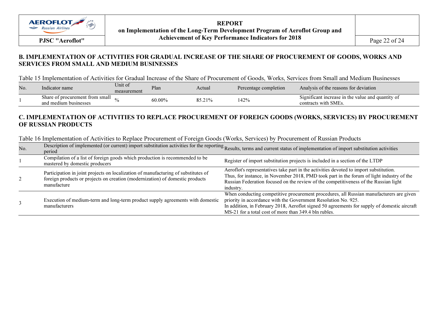

REPORT on Implementation of the Long-Term Development Program of Aeroflot Group and Achievement of Key Performance Indicators for 2018 PJSC "Aeroflot" $Page 22 of 24$ 

## B. IMPLEMENTATION OF ACTIVITIES FOR GRADUAL INCREASE OF THE SHARE OF PROCUREMENT OF GOODS, WORKS AND SERVICES FROM SMALL AND MEDIUM BUSINESSES

Table 15 Implementation of Activities for Gradual Increase of the Share of Procurement of Goods, Works, Services from Small and Medium Businesses

| No. | Indicator name                                           | Unit of<br>measurement | Plan   | Actual | Percentage completion | Analysis of the reasons for deviation                                     |
|-----|----------------------------------------------------------|------------------------|--------|--------|-----------------------|---------------------------------------------------------------------------|
|     | Share of procurement from small<br>and medium businesses |                        | 60.00% | 85.21% | 142%                  | Significant increase in the value and quantity of<br>contracts with SMEs. |

# C. IMPLEMENTATION OF ACTIVITIES TO REPLACE PROCUREMENT OF FOREIGN GOODS (WORKS, SERVICES) BY PROCUREMENT OF RUSSIAN PRODUCTS

|               | LAULE TO IMPICINCINATION OF ACTIVITIES TO REPTACE FTOCULENTEM OF FOLCIPII COODS (WOLKS, SERVICES) OV FTOCULENTEM OF RUSSIAN FTOQUCTS                                               |                                                                                                                                                                                                                                                                                                                    |
|---------------|------------------------------------------------------------------------------------------------------------------------------------------------------------------------------------|--------------------------------------------------------------------------------------------------------------------------------------------------------------------------------------------------------------------------------------------------------------------------------------------------------------------|
| No.           | period                                                                                                                                                                             | Description of implemented (or current) import substitution activities for the reporting Results, terms and current status of implementation of import substitution activities                                                                                                                                     |
|               | Compilation of a list of foreign goods which production is recommended to be<br>mastered by domestic producers                                                                     | Register of import substitution projects is included in a section of the LTDP                                                                                                                                                                                                                                      |
| $\mathcal{L}$ | Participation in joint projects on localization of manufacturing of substitutes of<br>foreign products or projects on creation (modernization) of domestic products<br>manufacture | Aeroflot's representatives take part in the activities devoted to import substitution.<br>Thus, for instance, in November 2018, PMD took part in the forum of light industry of the<br>Russian Federation focused on the review of the competitiveness of the Russian light<br>industry.                           |
|               | Execution of medium-term and long-term product supply agreements with domestic<br>manufacturers                                                                                    | When conducting competitive procurement procedures, all Russian manufacturers are given<br>priority in accordance with the Government Resolution No. 925.<br>In addition, in February 2018, Aeroflot signed 50 agreements for supply of domestic aircraft<br>MS-21 for a total cost of more than 349.4 bln rubles. |

Table 16 Implementation of Activities to Replace Procurement of Foreign Goods (Works, Services) by Procurement of Russian Products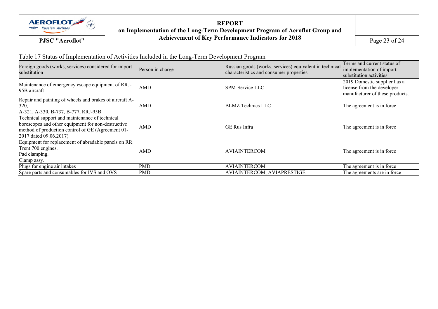

REPORT on Implementation of the Long-Term Development Program of Aeroflot Group and PJSC "Aeroflot" **Achievement of Key Performance Indicators for 2018** Page 23 of 24

# Table 17 Status of Implementation of Activities Included in the Long-Term Development Program

| Foreign goods (works, services) considered for import<br>substitution                                                                                                               | Person in charge | Russian goods (works, services) equivalent in technical<br>characteristics and consumer properties | Terms and current status of<br>implementation of import<br>substitution activities              |
|-------------------------------------------------------------------------------------------------------------------------------------------------------------------------------------|------------------|----------------------------------------------------------------------------------------------------|-------------------------------------------------------------------------------------------------|
| Maintenance of emergency escape equipment of RRJ-<br>95B aircraft                                                                                                                   | AMD              | SPM-Service LLC                                                                                    | 2019 Domestic supplier has a<br>license from the developer -<br>manufacturer of these products. |
| Repair and painting of wheels and brakes of aircraft A-<br>320,<br>A-321, A-330, B-737, B-777, RRJ-95B                                                                              | AMD              | <b>BLMZ</b> Technics LLC                                                                           | The agreement is in force                                                                       |
| Technical support and maintenance of technical<br>borescopes and other equipment for non-destructive<br>method of production control of GE (Agreement 01-<br>2017 dated 09.06.2017) | <b>AMD</b>       | <b>GE Rus Infra</b>                                                                                | The agreement is in force                                                                       |
| Equipment for replacement of abradable panels on RR<br>Trent 700 engines.<br>Pad clamping.<br>Clamp assy.                                                                           | AMD              | <b>AVIAINTERCOM</b>                                                                                | The agreement is in force                                                                       |
| Plugs for engine air intakes                                                                                                                                                        | <b>PMD</b>       | <b>AVIAINTERCOM</b>                                                                                | The agreement is in force                                                                       |
| Spare parts and consumables for IVS and OVS                                                                                                                                         | <b>PMD</b>       | AVIAINTERCOM, AVIAPRESTIGE                                                                         | The agreements are in force                                                                     |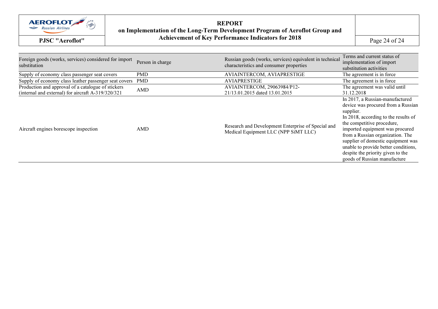

REPORTon Implementation of the Long-Term Development Program of Aeroflot Group and<br>
PJSC "Aeroflot" Achievement of Key Performance Indicators for 2018 Page 24 of 24

| Foreign goods (works, services) considered for import<br>substitution                                    | Person in charge | Russian goods (works, services) equivalent in technical<br>characteristics and consumer properties | Terms and current status of<br>implementation of import<br>substitution activities                                                                                                                                                                                                                                                                                                 |
|----------------------------------------------------------------------------------------------------------|------------------|----------------------------------------------------------------------------------------------------|------------------------------------------------------------------------------------------------------------------------------------------------------------------------------------------------------------------------------------------------------------------------------------------------------------------------------------------------------------------------------------|
| Supply of economy class passenger seat covers                                                            | <b>PMD</b>       | AVIAINTERCOM, AVIAPRESTIGE                                                                         | The agreement is in force                                                                                                                                                                                                                                                                                                                                                          |
| Supply of economy class leather passenger seat covers PMD                                                |                  | <b>AVIAPRESTIGE</b>                                                                                | The agreement is in force                                                                                                                                                                                                                                                                                                                                                          |
| Production and approval of a catalogue of stickers<br>(internal and external) for aircraft A-319/320/321 | AMD              | AVIAINTERCOM, 29063984/P12-<br>21/13.01.2015 dated 13.01.2015                                      | The agreement was valid until<br>31.12.2018                                                                                                                                                                                                                                                                                                                                        |
| Aircraft engines borescope inspection                                                                    | AMD              | Research and Development Enterprise of Special and<br>Medical Equipment LLC (NPP SiMT LLC)         | In 2017, a Russian-manufactured<br>device was procured from a Russian<br>supplier.<br>In 2018, according to the results of<br>the competitive procedure,<br>imported equipment was procured<br>from a Russian organization. The<br>supplier of domestic equipment was<br>unable to provide better conditions,<br>despite the priority given to the<br>goods of Russian manufacture |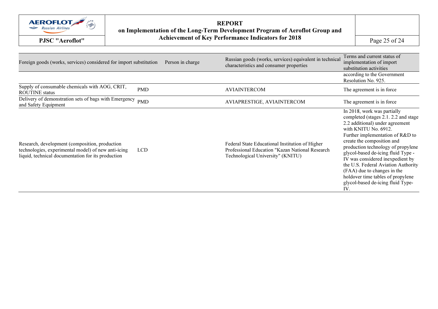

REPORTon Implementation of the Long-Term Development Program of Aeroflot Group and<br>
PJSC "Aeroflot" Achievement of Key Performance Indicators for 2018 Page 25 of 24

| Foreign goods (works, services) considered for import substitution                                                                                          |            | Person in charge | Russian goods (works, services) equivalent in technical<br>characteristics and consumer properties                                      | Terms and current status of<br>implementation of import<br>substitution activities                                                                                                                                                                                                                                                                                                                                                                                      |
|-------------------------------------------------------------------------------------------------------------------------------------------------------------|------------|------------------|-----------------------------------------------------------------------------------------------------------------------------------------|-------------------------------------------------------------------------------------------------------------------------------------------------------------------------------------------------------------------------------------------------------------------------------------------------------------------------------------------------------------------------------------------------------------------------------------------------------------------------|
|                                                                                                                                                             |            |                  |                                                                                                                                         | according to the Government<br>Resolution No. 925.                                                                                                                                                                                                                                                                                                                                                                                                                      |
| Supply of consumable chemicals with AOG, CRIT,<br><b>ROUTINE</b> status                                                                                     | <b>PMD</b> |                  | <b>AVIAINTERCOM</b>                                                                                                                     | The agreement is in force                                                                                                                                                                                                                                                                                                                                                                                                                                               |
| Delivery of demonstration sets of bags with Emergency<br>and Safety Equipment                                                                               | <b>PMD</b> |                  | AVIAPRESTIGE, AVIAINTERCOM                                                                                                              | The agreement is in force.                                                                                                                                                                                                                                                                                                                                                                                                                                              |
| Research, development (composition, production<br>technologies, experimental model) of new anti-icing<br>liquid, technical documentation for its production | <b>LCD</b> |                  | Federal State Educational Institution of Higher<br>Professional Education "Kazan National Research<br>Technological University" (KNITU) | In 2018, work was partially<br>completed (stages 2.1. 2.2 and stage<br>2.2 additional) under agreement<br>with KNITU No. 6912.<br>Further implementation of R&D to<br>create the composition and<br>production technology of propylene<br>glycol-based de-icing fluid Type -<br>IV was considered inexpedient by<br>the U.S. Federal Aviation Authority<br>(FAA) due to changes in the<br>holdover time tables of propylene<br>glycol-based de-icing fluid Type-<br>IV. |